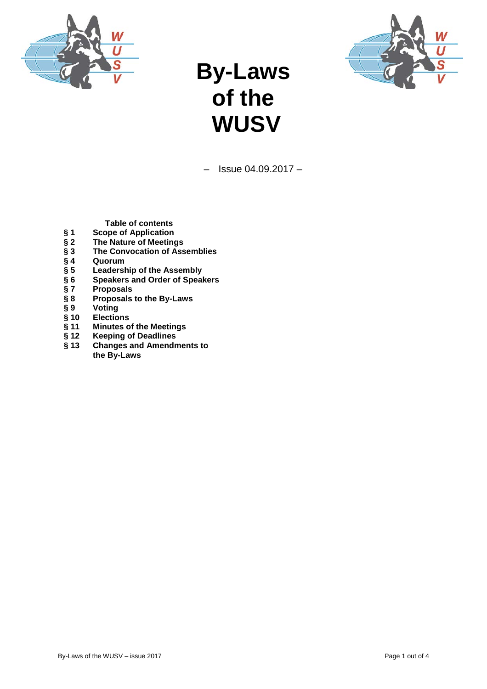



# **By-Laws of the WUSV**

 $-$  Issue 04.09.2017  $-$ 

**Table of contents**

- 
- **§ 1 Scope of Application** § 2 The Nature of Meetings<br>§ 3 The Convocation of Ass<br>§ 4 Quorum<br>§ 5 Leadership of the Asser<br>§ 6 Speakers and Order of 9
- **§ 3 The Convocation of Assemblies**
- **§ 4 Quorum**
- **§ 5 Leadership of the Assembly**
- **§ 6 Speakers and Order of Speakers**
- **§ 7 Proposals**
- **§ 8 Proposals to the By-Laws**
- 
- **§ 10 Elections**
- **§ 9 Voting § 11 Minutes of the Meetings**
- **§ 12 Keeping of Deadlines**
- **§ 13 Changes and Amendments to the By-Laws**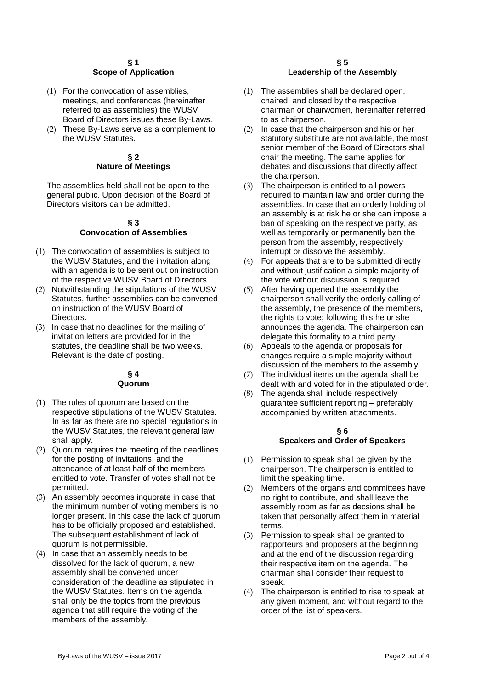# **§ 1 Scope of Application**

- (1) For the convocation of assemblies, meetings, and conferences (hereinafter referred to as assemblies) the WUSV Board of Directors issues these By-Laws.
- (2) These By-Laws serve as a complement to the WUSV Statutes.

# **§ 2 Nature of Meetings**

The assemblies held shall not be open to the general public. Upon decision of the Board of Directors visitors can be admitted.

#### **§ 3 Convocation of Assemblies**

- (1) The convocation of assemblies is subject to the WUSV Statutes, and the invitation along with an agenda is to be sent out on instruction of the respective WUSV Board of Directors.
- (2) Notwithstanding the stipulations of the WUSV Statutes, further assemblies can be convened on instruction of the WUSV Board of Directors.
- (3) In case that no deadlines for the mailing of invitation letters are provided for in the statutes, the deadline shall be two weeks. Relevant is the date of posting.

#### **§ 4 Quorum**

- (1) The rules of quorum are based on the respective stipulations of the WUSV Statutes. In as far as there are no special regulations in the WUSV Statutes, the relevant general law shall apply.
- (2) Quorum requires the meeting of the deadlines for the posting of invitations, and the attendance of at least half of the members entitled to vote. Transfer of votes shall not be permitted.
- (3) An assembly becomes inquorate in case that the minimum number of voting members is no longer present. In this case the lack of quorum has to be officially proposed and established. The subsequent establishment of lack of quorum is not permissible.
- (4) In case that an assembly needs to be dissolved for the lack of quorum, a new assembly shall be convened under consideration of the deadline as stipulated in the WUSV Statutes. Items on the agenda shall only be the topics from the previous agenda that still require the voting of the members of the assembly.

# **§ 5 Leadership of the Assembly**

- (1) The assemblies shall be declared open, chaired, and closed by the respective chairman or chairwomen, hereinafter referred to as chairperson.
- (2) In case that the chairperson and his or her statutory substitute are not available, the most senior member of the Board of Directors shall chair the meeting. The same applies for debates and discussions that directly affect the chairperson.
- (3) The chairperson is entitled to all powers required to maintain law and order during the assemblies. In case that an orderly holding of an assembly is at risk he or she can impose a ban of speaking on the respective party, as well as temporarily or permanently ban the person from the assembly, respectively interrupt or dissolve the assembly.
- (4) For appeals that are to be submitted directly and without justification a simple majority of the vote without discussion is required.
- (5) After having opened the assembly the chairperson shall verify the orderly calling of the assembly, the presence of the members, the rights to vote; following this he or she announces the agenda. The chairperson can delegate this formality to a third party.
- (6) Appeals to the agenda or proposals for changes require a simple majority without discussion of the members to the assembly.
- (7) The individual items on the agenda shall be dealt with and voted for in the stipulated order.
- (8) The agenda shall include respectively guarantee sufficient reporting – preferably accompanied by written attachments.

# **§ 6 Speakers and Order of Speakers**

- (1) Permission to speak shall be given by the chairperson. The chairperson is entitled to limit the speaking time.
- (2) Members of the organs and committees have no right to contribute, and shall leave the assembly room as far as decsions shall be taken that personally affect them in material terms.
- (3) Permission to speak shall be granted to rapporteurs and proposers at the beginning and at the end of the discussion regarding their respective item on the agenda. The chairman shall consider their request to speak.
- (4) The chairperson is entitled to rise to speak at any given moment, and without regard to the order of the list of speakers.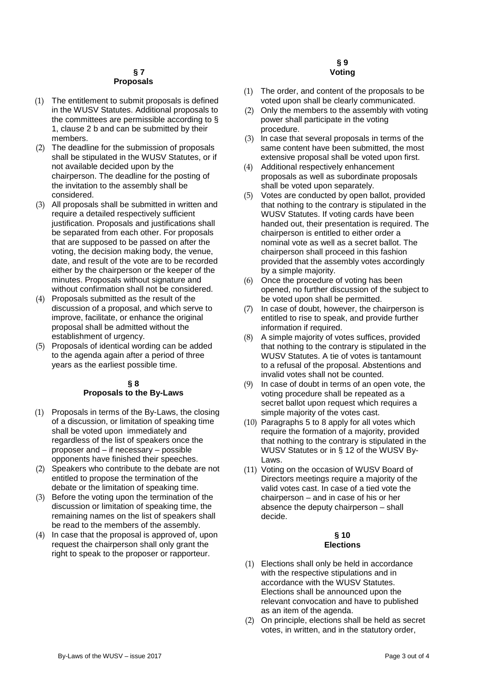### **§ 7 Proposals**

- (1) The entitlement to submit proposals is defined in the WUSV Statutes. Additional proposals to the committees are permissible according to § 1, clause 2 b and can be submitted by their members.
- (2) The deadline for the submission of proposals shall be stipulated in the WUSV Statutes, or if not available decided upon by the chairperson. The deadline for the posting of the invitation to the assembly shall be considered.
- (3) All proposals shall be submitted in written and require a detailed respectively sufficient justification. Proposals and justifications shall be separated from each other. For proposals that are supposed to be passed on after the voting, the decision making body, the venue, date, and result of the vote are to be recorded either by the chairperson or the keeper of the minutes. Proposals without signature and without confirmation shall not be considered.
- (4) Proposals submitted as the result of the discussion of a proposal, and which serve to improve, facilitate, or enhance the original proposal shall be admitted without the establishment of urgency.
- (5) Proposals of identical wording can be added to the agenda again after a period of three years as the earliest possible time.

#### **§ 8 Proposals to the By-Laws**

- (1) Proposals in terms of the By-Laws, the closing of a discussion, or limitation of speaking time shall be voted upon immediately and regardless of the list of speakers once the proposer and – if necessary – possible opponents have finished their speeches.
- (2) Speakers who contribute to the debate are not entitled to propose the termination of the debate or the limitation of speaking time.
- (3) Before the voting upon the termination of the discussion or limitation of speaking time, the remaining names on the list of speakers shall be read to the members of the assembly.
- (4) In case that the proposal is approved of, upon request the chairperson shall only grant the right to speak to the proposer or rapporteur.

#### **§ 9 Voting**

- (1) The order, and content of the proposals to be voted upon shall be clearly communicated.
- (2) Only the members to the assembly with voting power shall participate in the voting procedure.
- (3) In case that several proposals in terms of the same content have been submitted, the most extensive proposal shall be voted upon first.
- (4) Additional respectively enhancement proposals as well as subordinate proposals shall be voted upon separately.
- (5) Votes are conducted by open ballot, provided that nothing to the contrary is stipulated in the WUSV Statutes. If voting cards have been handed out, their presentation is required. The chairperson is entitled to either order a nominal vote as well as a secret ballot. The chairperson shall proceed in this fashion provided that the assembly votes accordingly by a simple majority.
- (6) Once the procedure of voting has been opened, no further discussion of the subject to be voted upon shall be permitted.
- (7) In case of doubt, however, the chairperson is entitled to rise to speak, and provide further information if required.
- (8) A simple majority of votes suffices, provided that nothing to the contrary is stipulated in the WUSV Statutes. A tie of votes is tantamount to a refusal of the proposal. Abstentions and invalid votes shall not be counted.
- (9) In case of doubt in terms of an open vote, the voting procedure shall be repeated as a secret ballot upon request which requires a simple majority of the votes cast.
- (10) Paragraphs 5 to 8 apply for all votes which require the formation of a majority, provided that nothing to the contrary is stipulated in the WUSV Statutes or in § 12 of the WUSV By-Laws.
- (11) Voting on the occasion of WUSV Board of Directors meetings require a majority of the valid votes cast. In case of a tied vote the chairperson – and in case of his or her absence the deputy chairperson – shall decide.

### **§ 10 Elections**

- (1) Elections shall only be held in accordance with the respective stipulations and in accordance with the WUSV Statutes. Elections shall be announced upon the relevant convocation and have to published as an item of the agenda.
- (2) On principle, elections shall be held as secret votes, in written, and in the statutory order,